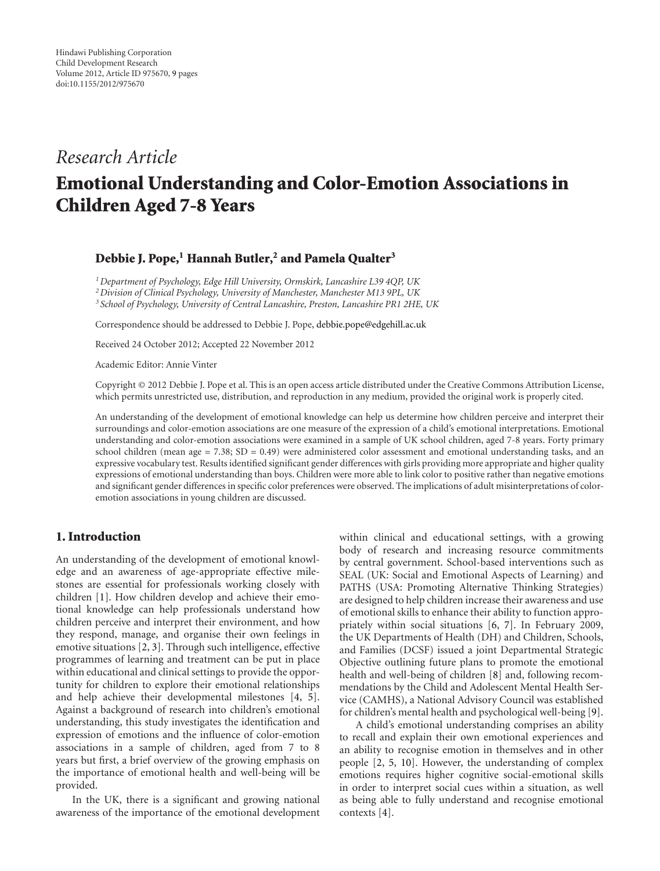# *Research Article*

# **Emotional Understanding and Color-Emotion Associations in Children Aged 7-8 Years**

## **Debbie J. Pope,1 Hannah Butler,2 and Pamela Qualter3**

*1Department of Psychology, Edge Hill University, Ormskirk, Lancashire L39 4QP, UK 2Division of Clinical Psychology, University of Manchester, Manchester M13 9PL, UK*

*<sup>3</sup> School of Psychology, University of Central Lancashire, Preston, Lancashire PR1 2HE, UK*

Correspondence should be addressed to Debbie J. Pope, debbie.pope@edgehill.ac.uk

Received 24 October 2012; Accepted 22 November 2012

Academic Editor: Annie Vinter

Copyright © 2012 Debbie J. Pope et al. This is an open access article distributed under the Creative Commons Attribution License, which permits unrestricted use, distribution, and reproduction in any medium, provided the original work is properly cited.

An understanding of the development of emotional knowledge can help us determine how children perceive and interpret their surroundings and color-emotion associations are one measure of the expression of a child's emotional interpretations. Emotional understanding and color-emotion associations were examined in a sample of UK school children, aged 7-8 years. Forty primary school children (mean age = 7.38;  $SD = 0.49$ ) were administered color assessment and emotional understanding tasks, and an expressive vocabulary test. Results identified significant gender differences with girls providing more appropriate and higher quality expressions of emotional understanding than boys. Children were more able to link color to positive rather than negative emotions and significant gender differences in specific color preferences were observed. The implications of adult misinterpretations of coloremotion associations in young children are discussed.

### **1. Introduction**

An understanding of the development of emotional knowledge and an awareness of age-appropriate effective milestones are essential for professionals working closely with children [1]. How children develop and achieve their emotional knowledge can help professionals understand how children perceive and interpret their environment, and how they respond, manage, and organise their own feelings in emotive situations [2, 3]. Through such intelligence, effective programmes of learning and treatment can be put in place within educational and clinical settings to provide the opportunity for children to explore their emotional relationships and help achieve their developmental milestones [4, 5]. Against a background of research into children's emotional understanding, this study investigates the identification and expression of emotions and the influence of color-emotion associations in a sample of children, aged from 7 to 8 years but first, a brief overview of the growing emphasis on the importance of emotional health and well-being will be provided.

In the UK, there is a significant and growing national awareness of the importance of the emotional development within clinical and educational settings, with a growing body of research and increasing resource commitments by central government. School-based interventions such as SEAL (UK: Social and Emotional Aspects of Learning) and PATHS (USA: Promoting Alternative Thinking Strategies) are designed to help children increase their awareness and use of emotional skills to enhance their ability to function appropriately within social situations [6, 7]. In February 2009, the UK Departments of Health (DH) and Children, Schools, and Families (DCSF) issued a joint Departmental Strategic Objective outlining future plans to promote the emotional health and well-being of children [8] and, following recommendations by the Child and Adolescent Mental Health Service (CAMHS), a National Advisory Council was established for children's mental health and psychological well-being [9].

A child's emotional understanding comprises an ability to recall and explain their own emotional experiences and an ability to recognise emotion in themselves and in other people [2, 5, 10]. However, the understanding of complex emotions requires higher cognitive social-emotional skills in order to interpret social cues within a situation, as well as being able to fully understand and recognise emotional contexts [4].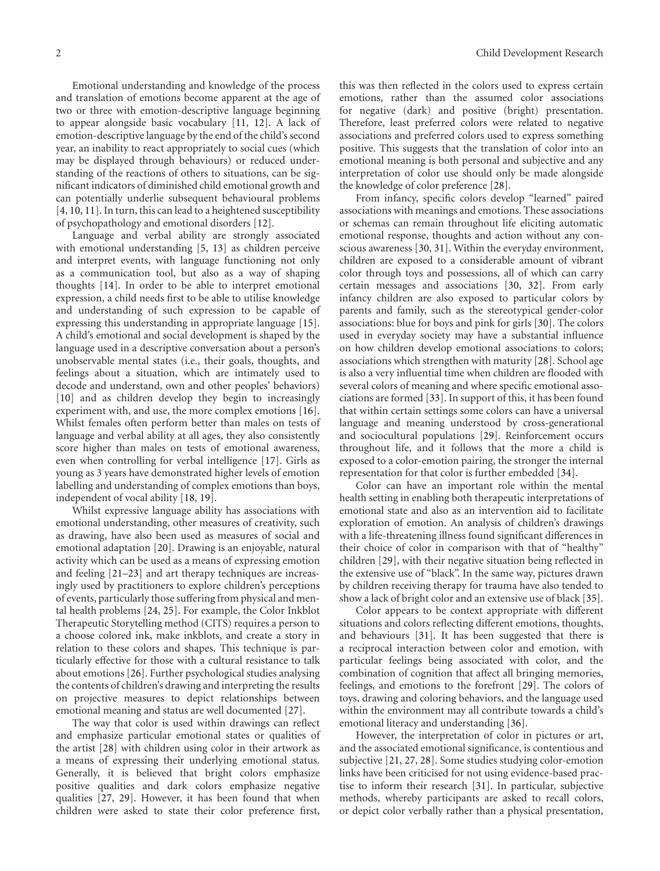Emotional understanding and knowledge of the process and translation of emotions become apparent at the age of two or three with emotion-descriptive language beginning to appear alongside basic vocabulary [11, 12]. A lack of emotion-descriptive language by the end of the child's second year, an inability to react appropriately to social cues (which may be displayed through behaviours) or reduced understanding of the reactions of others to situations, can be significant indicators of diminished child emotional growth and can potentially underlie subsequent behavioural problems [4, 10, 11]. In turn, this can lead to a heightened susceptibility of psychopathology and emotional disorders [12].

Language and verbal ability are strongly associated with emotional understanding [5, 13] as children perceive and interpret events, with language functioning not only as a communication tool, but also as a way of shaping thoughts [14]. In order to be able to interpret emotional expression, a child needs first to be able to utilise knowledge and understanding of such expression to be capable of expressing this understanding in appropriate language [15]. A child's emotional and social development is shaped by the language used in a descriptive conversation about a person's unobservable mental states (i.e., their goals, thoughts, and feelings about a situation, which are intimately used to decode and understand, own and other peoples' behaviors) [10] and as children develop they begin to increasingly experiment with, and use, the more complex emotions [16]. Whilst females often perform better than males on tests of language and verbal ability at all ages, they also consistently score higher than males on tests of emotional awareness, even when controlling for verbal intelligence [17]. Girls as young as 3 years have demonstrated higher levels of emotion labelling and understanding of complex emotions than boys, independent of vocal ability [18, 19].

Whilst expressive language ability has associations with emotional understanding, other measures of creativity, such as drawing, have also been used as measures of social and emotional adaptation [20]. Drawing is an enjoyable, natural activity which can be used as a means of expressing emotion and feeling [21–23] and art therapy techniques are increasingly used by practitioners to explore children's perceptions of events, particularly those suffering from physical and mental health problems [24, 25]. For example, the Color Inkblot Therapeutic Storytelling method (CITS) requires a person to a choose colored ink, make inkblots, and create a story in relation to these colors and shapes. This technique is particularly effective for those with a cultural resistance to talk about emotions [26]. Further psychological studies analysing the contents of children's drawing and interpreting the results on projective measures to depict relationships between emotional meaning and status are well documented [27].

The way that color is used within drawings can reflect and emphasize particular emotional states or qualities of the artist [28] with children using color in their artwork as a means of expressing their underlying emotional status. Generally, it is believed that bright colors emphasize positive qualities and dark colors emphasize negative qualities [27, 29]. However, it has been found that when children were asked to state their color preference first,

this was then reflected in the colors used to express certain emotions, rather than the assumed color associations for negative (dark) and positive (bright) presentation. Therefore, least preferred colors were related to negative associations and preferred colors used to express something positive. This suggests that the translation of color into an emotional meaning is both personal and subjective and any interpretation of color use should only be made alongside the knowledge of color preference [28].

From infancy, specific colors develop "learned" paired associations with meanings and emotions. These associations or schemas can remain throughout life eliciting automatic emotional response, thoughts and action without any conscious awareness [30, 31]. Within the everyday environment, children are exposed to a considerable amount of vibrant color through toys and possessions, all of which can carry certain messages and associations [30, 32]. From early infancy children are also exposed to particular colors by parents and family, such as the stereotypical gender-color associations: blue for boys and pink for girls [30]. The colors used in everyday society may have a substantial influence on how children develop emotional associations to colors; associations which strengthen with maturity [28]. School age is also a very influential time when children are flooded with several colors of meaning and where specific emotional associations are formed [33]. In support of this, it has been found that within certain settings some colors can have a universal language and meaning understood by cross-generational and sociocultural populations [29]. Reinforcement occurs throughout life, and it follows that the more a child is exposed to a color-emotion pairing, the stronger the internal representation for that color is further embedded [34].

Color can have an important role within the mental health setting in enabling both therapeutic interpretations of emotional state and also as an intervention aid to facilitate exploration of emotion. An analysis of children's drawings with a life-threatening illness found significant differences in their choice of color in comparison with that of "healthy" children [29], with their negative situation being reflected in the extensive use of "black". In the same way, pictures drawn by children receiving therapy for trauma have also tended to show a lack of bright color and an extensive use of black [35].

Color appears to be context appropriate with different situations and colors reflecting different emotions, thoughts, and behaviours [31]. It has been suggested that there is a reciprocal interaction between color and emotion, with particular feelings being associated with color, and the combination of cognition that affect all bringing memories, feelings, and emotions to the forefront [29]. The colors of toys, drawing and coloring behaviors, and the language used within the environment may all contribute towards a child's emotional literacy and understanding [36].

However, the interpretation of color in pictures or art, and the associated emotional significance, is contentious and subjective [21, 27, 28]. Some studies studying color-emotion links have been criticised for not using evidence-based practise to inform their research [31]. In particular, subjective methods, whereby participants are asked to recall colors, or depict color verbally rather than a physical presentation,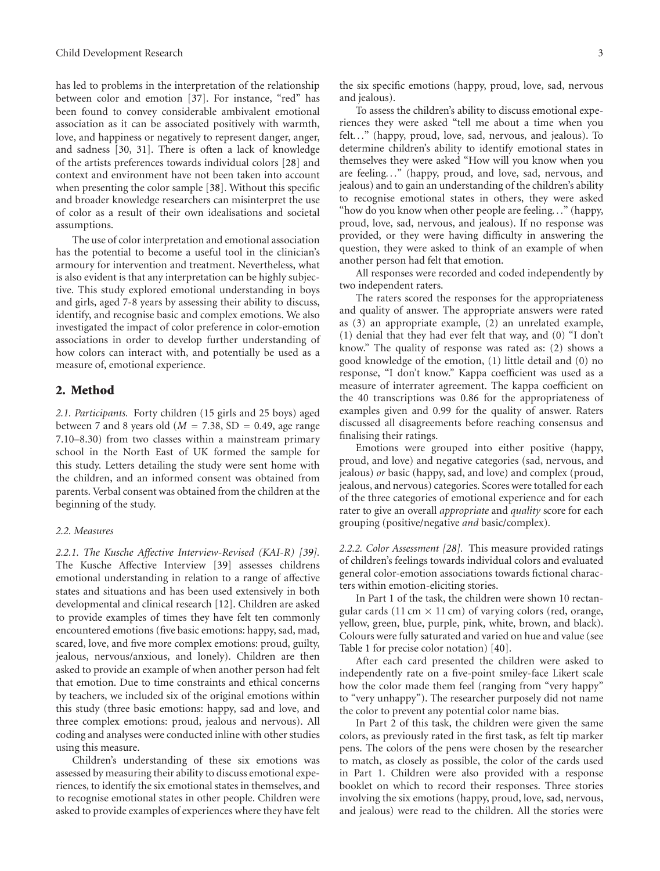has led to problems in the interpretation of the relationship between color and emotion [37]. For instance, "red" has been found to convey considerable ambivalent emotional association as it can be associated positively with warmth, love, and happiness or negatively to represent danger, anger, and sadness [30, 31]. There is often a lack of knowledge of the artists preferences towards individual colors [28] and context and environment have not been taken into account when presenting the color sample [38]. Without this specific and broader knowledge researchers can misinterpret the use of color as a result of their own idealisations and societal assumptions.

The use of color interpretation and emotional association has the potential to become a useful tool in the clinician's armoury for intervention and treatment. Nevertheless, what is also evident is that any interpretation can be highly subjective. This study explored emotional understanding in boys and girls, aged 7-8 years by assessing their ability to discuss, identify, and recognise basic and complex emotions. We also investigated the impact of color preference in color-emotion associations in order to develop further understanding of how colors can interact with, and potentially be used as a measure of, emotional experience.

### **2. Method**

*2.1. Participants.* Forty children (15 girls and 25 boys) aged between 7 and 8 years old  $(M = 7.38, SD = 0.49, age range)$ 7.10–8.30) from two classes within a mainstream primary school in the North East of UK formed the sample for this study. Letters detailing the study were sent home with the children, and an informed consent was obtained from parents. Verbal consent was obtained from the children at the beginning of the study.

#### *2.2. Measures*

*2.2.1. The Kusche Affective Interview-Revised (KAI-R) [39].* The Kusche Affective Interview [39] assesses childrens emotional understanding in relation to a range of affective states and situations and has been used extensively in both developmental and clinical research [12]. Children are asked to provide examples of times they have felt ten commonly encountered emotions (five basic emotions: happy, sad, mad, scared, love, and five more complex emotions: proud, guilty, jealous, nervous/anxious, and lonely). Children are then asked to provide an example of when another person had felt that emotion. Due to time constraints and ethical concerns by teachers, we included six of the original emotions within this study (three basic emotions: happy, sad and love, and three complex emotions: proud, jealous and nervous). All coding and analyses were conducted inline with other studies using this measure.

Children's understanding of these six emotions was assessed by measuring their ability to discuss emotional experiences, to identify the six emotional states in themselves, and to recognise emotional states in other people. Children were asked to provide examples of experiences where they have felt

the six specific emotions (happy, proud, love, sad, nervous and jealous).

To assess the children's ability to discuss emotional experiences they were asked "tell me about a time when you felt*...*" (happy, proud, love, sad, nervous, and jealous). To determine children's ability to identify emotional states in themselves they were asked "How will you know when you are feeling*...*" (happy, proud, and love, sad, nervous, and jealous) and to gain an understanding of the children's ability to recognise emotional states in others, they were asked "how do you know when other people are feeling*...*" (happy, proud, love, sad, nervous, and jealous). If no response was provided, or they were having difficulty in answering the question, they were asked to think of an example of when another person had felt that emotion.

All responses were recorded and coded independently by two independent raters.

The raters scored the responses for the appropriateness and quality of answer. The appropriate answers were rated as (3) an appropriate example, (2) an unrelated example, (1) denial that they had ever felt that way, and (0) "I don't know." The quality of response was rated as: (2) shows a good knowledge of the emotion, (1) little detail and (0) no response, "I don't know." Kappa coefficient was used as a measure of interrater agreement. The kappa coefficient on the 40 transcriptions was 0.86 for the appropriateness of examples given and 0.99 for the quality of answer. Raters discussed all disagreements before reaching consensus and finalising their ratings.

Emotions were grouped into either positive (happy, proud, and love) and negative categories (sad, nervous, and jealous) *or* basic (happy, sad, and love) and complex (proud, jealous, and nervous) categories. Scores were totalled for each of the three categories of emotional experience and for each rater to give an overall *appropriate* and *quality* score for each grouping (positive/negative *and* basic/complex).

*2.2.2. Color Assessment [28].* This measure provided ratings of children's feelings towards individual colors and evaluated general color-emotion associations towards fictional characters within emotion-eliciting stories.

In Part 1 of the task, the children were shown 10 rectangular cards (11 cm  $\times$  11 cm) of varying colors (red, orange, yellow, green, blue, purple, pink, white, brown, and black). Colours were fully saturated and varied on hue and value (see Table 1 for precise color notation) [40].

After each card presented the children were asked to independently rate on a five-point smiley-face Likert scale how the color made them feel (ranging from "very happy" to "very unhappy"). The researcher purposely did not name the color to prevent any potential color name bias.

In Part 2 of this task, the children were given the same colors, as previously rated in the first task, as felt tip marker pens. The colors of the pens were chosen by the researcher to match, as closely as possible, the color of the cards used in Part 1. Children were also provided with a response booklet on which to record their responses. Three stories involving the six emotions (happy, proud, love, sad, nervous, and jealous) were read to the children. All the stories were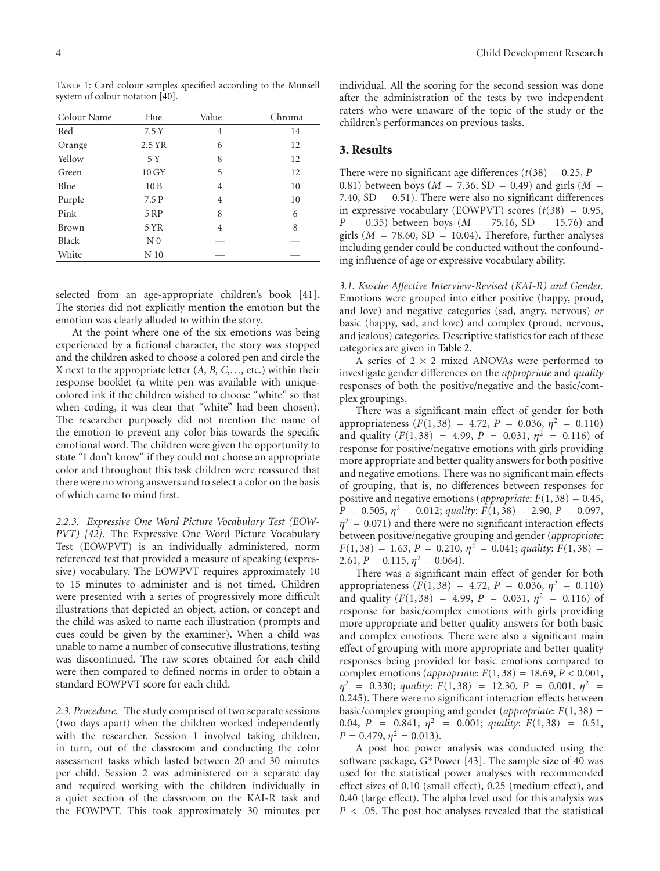system of colour notation [40]. Colour Name Hue Value Chroma Red 7.5 Y 4 14 Orange 2.5 YR 6 12  $Y$ ellow  $5 Y$  8 12 Green 10 GY 5 12 Blue  $10 B$  4  $10$ 

Purple 7.5 P 4 10 Pink 5 RP 8 6 Brown 5 YR 4 8 Black  $N 0$  — — White  $N 10$  — —

Table 1: Card colour samples specified according to the Munsell

selected from an age-appropriate children's book [41]. The stories did not explicitly mention the emotion but the emotion was clearly alluded to within the story.

At the point where one of the six emotions was being experienced by a fictional character, the story was stopped and the children asked to choose a colored pen and circle the X next to the appropriate letter (*A, B, C,...,* etc.) within their response booklet (a white pen was available with uniquecolored ink if the children wished to choose "white" so that when coding, it was clear that "white" had been chosen). The researcher purposely did not mention the name of the emotion to prevent any color bias towards the specific emotional word. The children were given the opportunity to state "I don't know" if they could not choose an appropriate color and throughout this task children were reassured that there were no wrong answers and to select a color on the basis of which came to mind first.

*2.2.3. Expressive One Word Picture Vocabulary Test (EOW-PVT) [42].* The Expressive One Word Picture Vocabulary Test (EOWPVT) is an individually administered, norm referenced test that provided a measure of speaking (expressive) vocabulary. The EOWPVT requires approximately 10 to 15 minutes to administer and is not timed. Children were presented with a series of progressively more difficult illustrations that depicted an object, action, or concept and the child was asked to name each illustration (prompts and cues could be given by the examiner). When a child was unable to name a number of consecutive illustrations, testing was discontinued. The raw scores obtained for each child were then compared to defined norms in order to obtain a standard EOWPVT score for each child.

*2.3. Procedure.* The study comprised of two separate sessions (two days apart) when the children worked independently with the researcher. Session 1 involved taking children, in turn, out of the classroom and conducting the color assessment tasks which lasted between 20 and 30 minutes per child. Session 2 was administered on a separate day and required working with the children individually in a quiet section of the classroom on the KAI-R task and the EOWPVT. This took approximately 30 minutes per

individual. All the scoring for the second session was done after the administration of the tests by two independent raters who were unaware of the topic of the study or the children's performances on previous tasks.

#### **3. Results**

There were no significant age differences  $(t(38) = 0.25, P =$ 0.81) between boys ( $M = 7.36$ , SD = 0.49) and girls ( $M =$ <sup>7</sup>*.*40, SD <sup>=</sup> <sup>0</sup>*.*51). There were also no significant differences in expressive vocabulary (EOWPVT) scores  $(t(38) = 0.95,$ *<sup>P</sup>* <sup>=</sup> <sup>0</sup>*.*35) between boys (*<sup>M</sup>* <sup>=</sup> <sup>75</sup>*.*16, SD <sup>=</sup> <sup>15</sup>*.*76) and girls  $(M = 78.60, SD = 10.04)$ . Therefore, further analyses including gender could be conducted without the confounding influence of age or expressive vocabulary ability.

*3.1. Kusche Affective Interview-Revised (KAI-R) and Gender.* Emotions were grouped into either positive (happy, proud, and love) and negative categories (sad, angry, nervous) *or* basic (happy, sad, and love) and complex (proud, nervous, and jealous) categories. Descriptive statistics for each of these categories are given in Table 2.

A series of  $2 \times 2$  mixed ANOVAs were performed to investigate gender differences on the *appropriate* and *quality* responses of both the positive/negative and the basic/complex groupings.

There was a significant main effect of gender for both appropriateness  $(F(1, 38) = 4.72, P = 0.036, \eta^2 = 0.110)$ and quality  $(F(1, 38) = 4.99, P = 0.031, \eta^2 = 0.116)$  of response for positive/negative emotions with girls providing more appropriate and better quality answers for both positive and negative emotions. There was no significant main effects of grouping, that is, no differences between responses for positive and negative emotions (*appropriate*:  $F(1, 38) = 0.45$ ,  $P = 0.505$ ,  $\eta^2 = 0.012$ ; *quality*:  $F(1, 38) = 2.90$ ,  $P = 0.097$ ,  $η<sup>2</sup> = 0.071$ ) and there were no significant interaction effects between positive/negative grouping and gender (*appropriate*:  $F(1, 38) = 1.63$ ,  $P = 0.210$ ,  $\eta^2 = 0.041$ ; *quality*:  $F(1, 38) =$ 2.61,  $P = 0.115$ ,  $\eta^2 = 0.064$ .

There was a significant main effect of gender for both appropriateness  $(F(1, 38) = 4.72, P = 0.036, \eta^2 = 0.110)$ and quality  $(F(1, 38) = 4.99, P = 0.031, \eta^2 = 0.116)$  of response for basic/complex emotions with girls providing more appropriate and better quality answers for both basic and complex emotions. There were also a significant main effect of grouping with more appropriate and better quality responses being provided for basic emotions compared to complex emotions (*appropriate*: *<sup>F</sup>*(1, 38) <sup>=</sup> <sup>18</sup>*.*69, *P <* <sup>0</sup>*.*001,  $\eta^2$  = 0.330; *quality*:  $F(1, 38)$  = 12.30,  $P$  = 0.001,  $\eta^2$  = 0*.*245). There were no significant interaction effects between basic/complex grouping and gender (*appropriate*: *<sup>F</sup>*(1, 38) <sup>=</sup> 0.04,  $P = 0.841$ ,  $\eta^2 = 0.001$ ; *quality*:  $F(1, 38) = 0.51$ ,  $P = 0.479$ ,  $\eta^2 = 0.013$ ).

A post hoc power analysis was conducted using the software package, G∗Power [43]. The sample size of 40 was used for the statistical power analyses with recommended effect sizes of 0.10 (small effect), 0.25 (medium effect), and 0.40 (large effect). The alpha level used for this analysis was *P* < .05. The post hoc analyses revealed that the statistical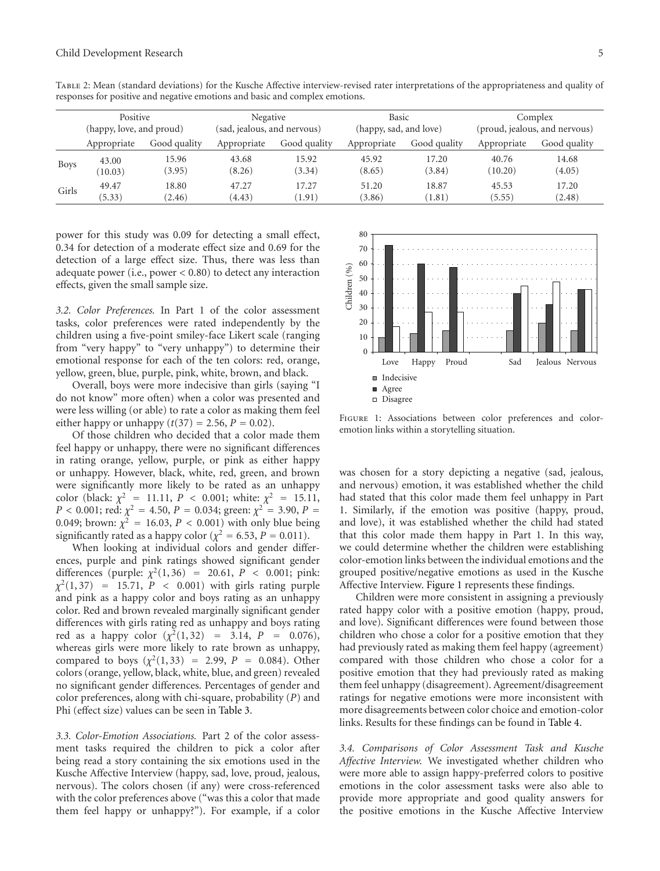|             | Positive                 |              | Negative                    |              | Basic                  |              | Complex                       |              |
|-------------|--------------------------|--------------|-----------------------------|--------------|------------------------|--------------|-------------------------------|--------------|
|             | (happy, love, and proud) |              | (sad, jealous, and nervous) |              | (happy, sad, and love) |              | (proud, jealous, and nervous) |              |
|             | Appropriate              | Good quality | Appropriate                 | Good quality | Appropriate            | Good quality | Appropriate                   | Good quality |
| <b>Boys</b> | 43.00                    | 15.96        | 43.68                       | 15.92        | 45.92                  | 17.20        | 40.76                         | 14.68        |
|             | (10.03)                  | (3.95)       | (8.26)                      | (3.34)       | (8.65)                 | (3.84)       | (10.20)                       | (4.05)       |
| Girls       | 49.47                    | 18.80        | 47.27                       | 17.27        | 51.20                  | 18.87        | 45.53                         | 17.20        |
|             | (5.33)                   | (2.46)       | (4.43)                      | (1.91)       | (3.86)                 | (1.81)       | (5.55)                        | (2.48)       |

Table 2: Mean (standard deviations) for the Kusche Affective interview-revised rater interpretations of the appropriateness and quality of responses for positive and negative emotions and basic and complex emotions.

power for this study was 0.09 for detecting a small effect, 0.34 for detection of a moderate effect size and 0.69 for the detection of a large effect size. Thus, there was less than adequate power (i.e., power *<* 0.80) to detect any interaction effects, given the small sample size.

*3.2. Color Preferences.* In Part 1 of the color assessment tasks, color preferences were rated independently by the children using a five-point smiley-face Likert scale (ranging from "very happy" to "very unhappy") to determine their emotional response for each of the ten colors: red, orange, yellow, green, blue, purple, pink, white, brown, and black.

Overall, boys were more indecisive than girls (saying "I do not know" more often) when a color was presented and were less willing (or able) to rate a color as making them feel either happy or unhappy  $(t(37) = 2.56, P = 0.02)$ .

Of those children who decided that a color made them feel happy or unhappy, there were no significant differences in rating orange, yellow, purple, or pink as either happy or unhappy. However, black, white, red, green, and brown were significantly more likely to be rated as an unhappy color (black:  $\chi^2 = 11.11$ ,  $P < 0.001$ ; white:  $\chi^2 = 15.11$ , *P* < 0.001; red:  $\chi^2 = 4.50$ , *P* = 0.034; green:  $\chi^2 = 3.90$ , *P* = 0.049; brown:  $\chi^2 = 16.03$ ,  $P < 0.001$ ) with only blue being significantly rated as a happy color ( $\chi^2 = 6.53$ ,  $P = 0.011$ ).

When looking at individual colors and gender differences, purple and pink ratings showed significant gender differences (purple:  $\chi^2(1, 36) = 20.61$ ,  $P < 0.001$ ; pink: *<sup>χ</sup>*2(1, 37) <sup>=</sup> <sup>15</sup>*.*71, *P <* <sup>0</sup>*.*001) with girls rating purple and pink as a happy color and boys rating as an unhappy color. Red and brown revealed marginally significant gender differences with girls rating red as unhappy and boys rating red as a happy color  $(\chi^2(1, 32) = 3.14, P = 0.076)$ , whereas girls were more likely to rate brown as unhappy, compared to boys  $(\chi^2(1, 33) = 2.99, P = 0.084)$ . Other colors (orange, yellow, black, white, blue, and green) revealed no significant gender differences. Percentages of gender and color preferences, along with chi-square, probability (*P*) and Phi (effect size) values can be seen in Table 3.

*3.3. Color-Emotion Associations.* Part 2 of the color assessment tasks required the children to pick a color after being read a story containing the six emotions used in the Kusche Affective Interview (happy, sad, love, proud, jealous, nervous). The colors chosen (if any) were cross-referenced with the color preferences above ("was this a color that made them feel happy or unhappy?"). For example, if a color



FIGURE 1: Associations between color preferences and coloremotion links within a storytelling situation.

was chosen for a story depicting a negative (sad, jealous, and nervous) emotion, it was established whether the child had stated that this color made them feel unhappy in Part 1. Similarly, if the emotion was positive (happy, proud, and love), it was established whether the child had stated that this color made them happy in Part 1. In this way, we could determine whether the children were establishing color-emotion links between the individual emotions and the grouped positive/negative emotions as used in the Kusche Affective Interview. Figure 1 represents these findings.

Children were more consistent in assigning a previously rated happy color with a positive emotion (happy, proud, and love). Significant differences were found between those children who chose a color for a positive emotion that they had previously rated as making them feel happy (agreement) compared with those children who chose a color for a positive emotion that they had previously rated as making them feel unhappy (disagreement). Agreement/disagreement ratings for negative emotions were more inconsistent with more disagreements between color choice and emotion-color links. Results for these findings can be found in Table 4.

*3.4. Comparisons of Color Assessment Task and Kusche Affective Interview.* We investigated whether children who were more able to assign happy-preferred colors to positive emotions in the color assessment tasks were also able to provide more appropriate and good quality answers for the positive emotions in the Kusche Affective Interview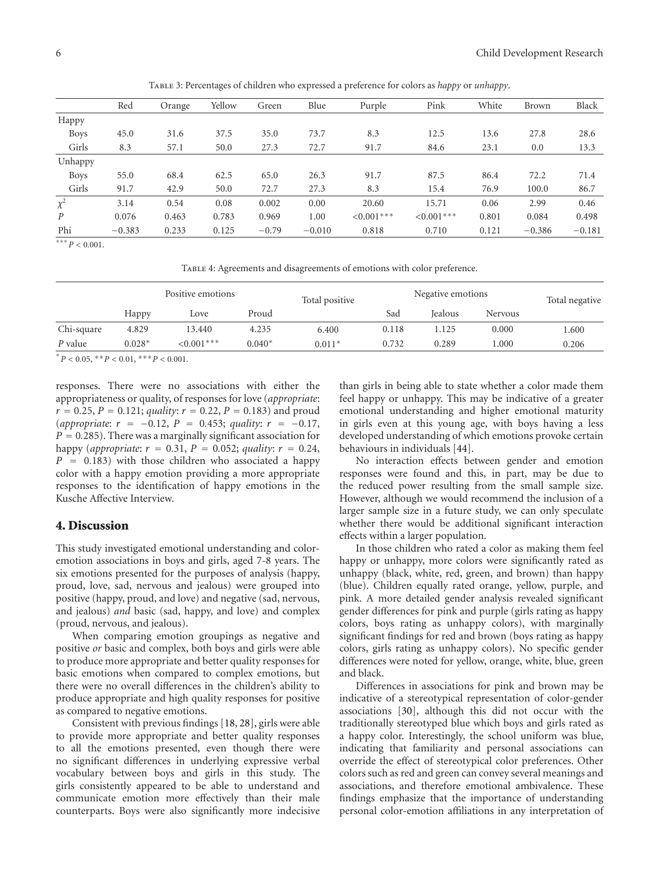|                  | Red      | Orange | Yellow | Green   | Blue     | Purple        | Pink        | White | <b>Brown</b> | Black    |
|------------------|----------|--------|--------|---------|----------|---------------|-------------|-------|--------------|----------|
| Happy            |          |        |        |         |          |               |             |       |              |          |
| <b>Boys</b>      | 45.0     | 31.6   | 37.5   | 35.0    | 73.7     | 8.3           | 12.5        | 13.6  | 27.8         | 28.6     |
| Girls            | 8.3      | 57.1   | 50.0   | 27.3    | 72.7     | 91.7          | 84.6        | 23.1  | 0.0          | 13.3     |
| Unhappy          |          |        |        |         |          |               |             |       |              |          |
| <b>Boys</b>      | 55.0     | 68.4   | 62.5   | 65.0    | 26.3     | 91.7          | 87.5        | 86.4  | 72.2         | 71.4     |
| Girls            | 91.7     | 42.9   | 50.0   | 72.7    | 27.3     | 8.3           | 15.4        | 76.9  | 100.0        | 86.7     |
| $\chi^2$         | 3.14     | 0.54   | 0.08   | 0.002   | 0.00     | 20.60         | 15.71       | 0.06  | 2.99         | 0.46     |
| $\boldsymbol{P}$ | 0.076    | 0.463  | 0.783  | 0.969   | 1.00     | $< 0.001$ *** | $<0.001***$ | 0.801 | 0.084        | 0.498    |
| Phi              | $-0.383$ | 0.233  | 0.125  | $-0.79$ | $-0.010$ | 0.818         | 0.710       | 0.121 | $-0.386$     | $-0.181$ |

Table 3: Percentages of children who expressed a preference for colors as *happy* or *unhappy*.

 $x^*$  *≠*  $P$  < 0.001.

Table 4: Agreements and disagreements of emotions with color preference.

|            | Positive emotions |             |          | Total positive | Negative emotions |                 |         | Total negative |
|------------|-------------------|-------------|----------|----------------|-------------------|-----------------|---------|----------------|
|            | Happy             | Love        | Proud    |                | Sad               | <b>I</b> ealous | Nervous |                |
| Chi-square | 4.829             | 13.440      | 4.235    | 6.400          | 0.118             | .125            | 0.000   | 1.600          |
| P value    | $0.028*$          | $<0.001***$ | $0.040*$ | $0.011*$       | 0.732             | 0.289           | 1.000   | 0.206          |

∗ *P <* 0*.*05, ∗∗*P <* 0*.*01, ∗∗∗*P <* 0*.*001.

responses. There were no associations with either the appropriateness or quality, of responses for love (*appropriate*:  $r = 0.25$ ,  $P = 0.121$ ; *quality*:  $r = 0.22$ ,  $P = 0.183$ ) and proud  $(appropriate: r = -0.12, P = 0.453; quality: r = -0.17,$ *<sup>P</sup>* <sup>=</sup> <sup>0</sup>*.*285). There was a marginally significant association for happy (*appropriate*:  $r = 0.31, P = 0.052$ ; *quality*:  $r = 0.24$ , *<sup>P</sup>* <sup>=</sup> <sup>0</sup>*.*183) with those children who associated a happy color with a happy emotion providing a more appropriate responses to the identification of happy emotions in the Kusche Affective Interview.

# **4. Discussion**

This study investigated emotional understanding and coloremotion associations in boys and girls, aged 7-8 years. The six emotions presented for the purposes of analysis (happy, proud, love, sad, nervous and jealous) were grouped into positive (happy, proud, and love) and negative (sad, nervous, and jealous) *and* basic (sad, happy, and love) and complex (proud, nervous, and jealous).

When comparing emotion groupings as negative and positive *or* basic and complex, both boys and girls were able to produce more appropriate and better quality responses for basic emotions when compared to complex emotions, but there were no overall differences in the children's ability to produce appropriate and high quality responses for positive as compared to negative emotions.

Consistent with previous findings [18, 28], girls were able to provide more appropriate and better quality responses to all the emotions presented, even though there were no significant differences in underlying expressive verbal vocabulary between boys and girls in this study. The girls consistently appeared to be able to understand and communicate emotion more effectively than their male counterparts. Boys were also significantly more indecisive

than girls in being able to state whether a color made them feel happy or unhappy. This may be indicative of a greater emotional understanding and higher emotional maturity in girls even at this young age, with boys having a less developed understanding of which emotions provoke certain behaviours in individuals [44].

No interaction effects between gender and emotion responses were found and this, in part, may be due to the reduced power resulting from the small sample size. However, although we would recommend the inclusion of a larger sample size in a future study, we can only speculate whether there would be additional significant interaction effects within a larger population.

In those children who rated a color as making them feel happy or unhappy, more colors were significantly rated as unhappy (black, white, red, green, and brown) than happy (blue). Children equally rated orange, yellow, purple, and pink. A more detailed gender analysis revealed significant gender differences for pink and purple (girls rating as happy colors, boys rating as unhappy colors), with marginally significant findings for red and brown (boys rating as happy colors, girls rating as unhappy colors). No specific gender differences were noted for yellow, orange, white, blue, green and black.

Differences in associations for pink and brown may be indicative of a stereotypical representation of color-gender associations [30], although this did not occur with the traditionally stereotyped blue which boys and girls rated as a happy color. Interestingly, the school uniform was blue, indicating that familiarity and personal associations can override the effect of stereotypical color preferences. Other colors such as red and green can convey several meanings and associations, and therefore emotional ambivalence. These findings emphasize that the importance of understanding personal color-emotion affiliations in any interpretation of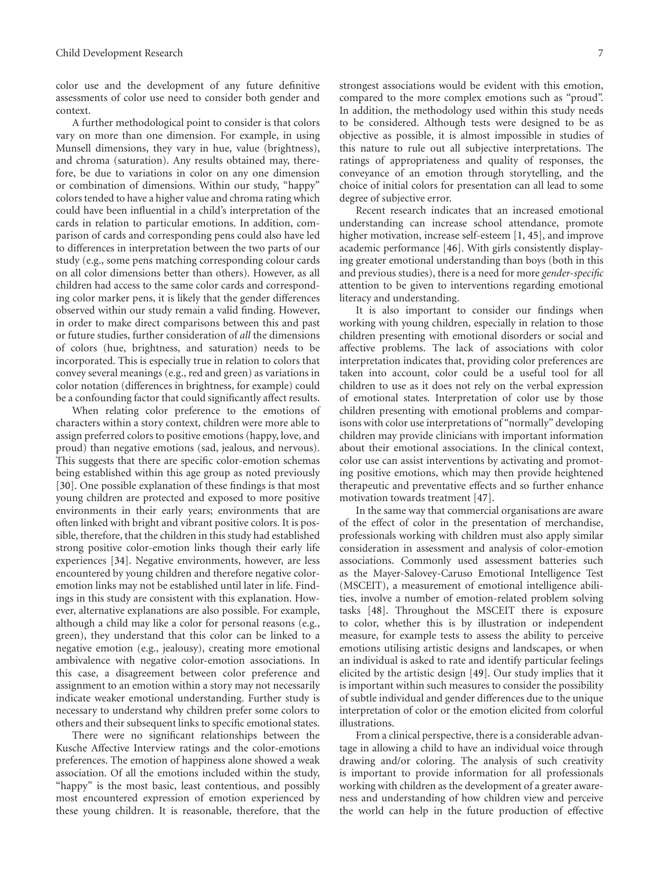color use and the development of any future definitive assessments of color use need to consider both gender and context.

A further methodological point to consider is that colors vary on more than one dimension. For example, in using Munsell dimensions, they vary in hue, value (brightness), and chroma (saturation). Any results obtained may, therefore, be due to variations in color on any one dimension or combination of dimensions. Within our study, "happy" colors tended to have a higher value and chroma rating which could have been influential in a child's interpretation of the cards in relation to particular emotions. In addition, comparison of cards and corresponding pens could also have led to differences in interpretation between the two parts of our study (e.g., some pens matching corresponding colour cards on all color dimensions better than others). However, as all children had access to the same color cards and corresponding color marker pens, it is likely that the gender differences observed within our study remain a valid finding. However, in order to make direct comparisons between this and past or future studies, further consideration of *all* the dimensions of colors (hue, brightness, and saturation) needs to be incorporated. This is especially true in relation to colors that convey several meanings (e.g., red and green) as variations in color notation (differences in brightness, for example) could be a confounding factor that could significantly affect results.

When relating color preference to the emotions of characters within a story context, children were more able to assign preferred colors to positive emotions (happy, love, and proud) than negative emotions (sad, jealous, and nervous). This suggests that there are specific color-emotion schemas being established within this age group as noted previously [30]. One possible explanation of these findings is that most young children are protected and exposed to more positive environments in their early years; environments that are often linked with bright and vibrant positive colors. It is possible, therefore, that the children in this study had established strong positive color-emotion links though their early life experiences [34]. Negative environments, however, are less encountered by young children and therefore negative coloremotion links may not be established until later in life. Findings in this study are consistent with this explanation. However, alternative explanations are also possible. For example, although a child may like a color for personal reasons (e.g., green), they understand that this color can be linked to a negative emotion (e.g., jealousy), creating more emotional ambivalence with negative color-emotion associations. In this case, a disagreement between color preference and assignment to an emotion within a story may not necessarily indicate weaker emotional understanding. Further study is necessary to understand why children prefer some colors to others and their subsequent links to specific emotional states.

There were no significant relationships between the Kusche Affective Interview ratings and the color-emotions preferences. The emotion of happiness alone showed a weak association. Of all the emotions included within the study, "happy" is the most basic, least contentious, and possibly most encountered expression of emotion experienced by these young children. It is reasonable, therefore, that the strongest associations would be evident with this emotion, compared to the more complex emotions such as "proud". In addition, the methodology used within this study needs to be considered. Although tests were designed to be as objective as possible, it is almost impossible in studies of this nature to rule out all subjective interpretations. The ratings of appropriateness and quality of responses, the conveyance of an emotion through storytelling, and the choice of initial colors for presentation can all lead to some degree of subjective error.

Recent research indicates that an increased emotional understanding can increase school attendance, promote higher motivation, increase self-esteem [1, 45], and improve academic performance [46]. With girls consistently displaying greater emotional understanding than boys (both in this and previous studies), there is a need for more *gender-specific* attention to be given to interventions regarding emotional literacy and understanding.

It is also important to consider our findings when working with young children, especially in relation to those children presenting with emotional disorders or social and affective problems. The lack of associations with color interpretation indicates that, providing color preferences are taken into account, color could be a useful tool for all children to use as it does not rely on the verbal expression of emotional states. Interpretation of color use by those children presenting with emotional problems and comparisons with color use interpretations of "normally" developing children may provide clinicians with important information about their emotional associations. In the clinical context, color use can assist interventions by activating and promoting positive emotions, which may then provide heightened therapeutic and preventative effects and so further enhance motivation towards treatment [47].

In the same way that commercial organisations are aware of the effect of color in the presentation of merchandise, professionals working with children must also apply similar consideration in assessment and analysis of color-emotion associations. Commonly used assessment batteries such as the Mayer-Salovey-Caruso Emotional Intelligence Test (MSCEIT), a measurement of emotional intelligence abilities, involve a number of emotion-related problem solving tasks [48]. Throughout the MSCEIT there is exposure to color, whether this is by illustration or independent measure, for example tests to assess the ability to perceive emotions utilising artistic designs and landscapes, or when an individual is asked to rate and identify particular feelings elicited by the artistic design [49]. Our study implies that it is important within such measures to consider the possibility of subtle individual and gender differences due to the unique interpretation of color or the emotion elicited from colorful illustrations.

From a clinical perspective, there is a considerable advantage in allowing a child to have an individual voice through drawing and/or coloring. The analysis of such creativity is important to provide information for all professionals working with children as the development of a greater awareness and understanding of how children view and perceive the world can help in the future production of effective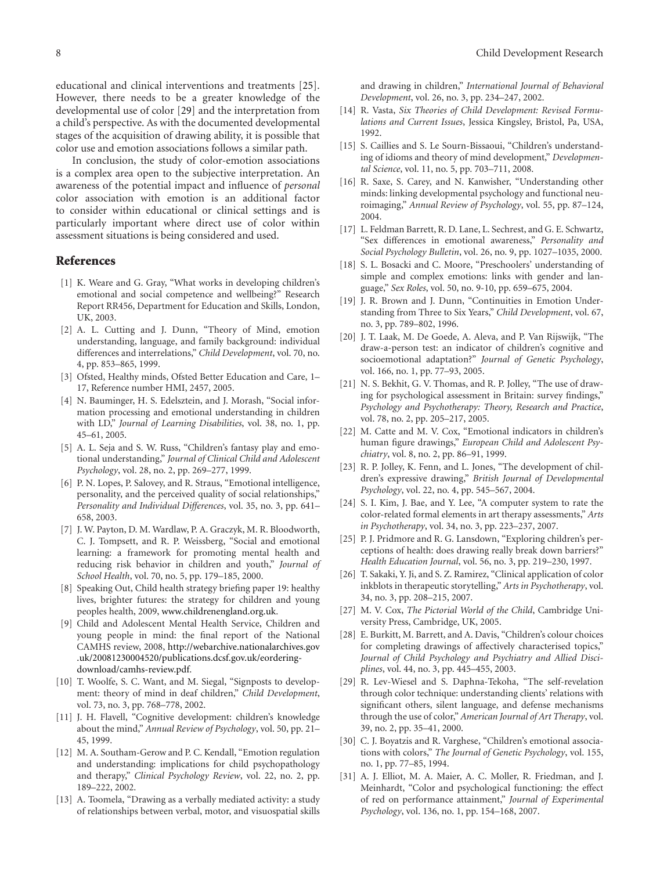educational and clinical interventions and treatments [25]. However, there needs to be a greater knowledge of the developmental use of color [29] and the interpretation from a child's perspective. As with the documented developmental stages of the acquisition of drawing ability, it is possible that color use and emotion associations follows a similar path.

In conclusion, the study of color-emotion associations is a complex area open to the subjective interpretation. An awareness of the potential impact and influence of *personal* color association with emotion is an additional factor to consider within educational or clinical settings and is particularly important where direct use of color within assessment situations is being considered and used.

#### **References**

- [1] K. Weare and G. Gray, "What works in developing children's emotional and social competence and wellbeing?" Research Report RR456, Department for Education and Skills, London, UK, 2003.
- [2] A. L. Cutting and J. Dunn, "Theory of Mind, emotion understanding, language, and family background: individual differences and interrelations," *Child Development*, vol. 70, no. 4, pp. 853–865, 1999.
- [3] Ofsted, Healthy minds, Ofsted Better Education and Care, 1– 17, Reference number HMI, 2457, 2005.
- [4] N. Bauminger, H. S. Edelsztein, and J. Morash, "Social information processing and emotional understanding in children with LD," *Journal of Learning Disabilities*, vol. 38, no. 1, pp. 45–61, 2005.
- [5] A. L. Seja and S. W. Russ, "Children's fantasy play and emotional understanding," *Journal of Clinical Child and Adolescent Psychology*, vol. 28, no. 2, pp. 269–277, 1999.
- [6] P. N. Lopes, P. Salovey, and R. Straus, "Emotional intelligence, personality, and the perceived quality of social relationships," *Personality and Individual Differences*, vol. 35, no. 3, pp. 641– 658, 2003.
- [7] J. W. Payton, D. M. Wardlaw, P. A. Graczyk, M. R. Bloodworth, C. J. Tompsett, and R. P. Weissberg, "Social and emotional learning: a framework for promoting mental health and reducing risk behavior in children and youth," *Journal of School Health*, vol. 70, no. 5, pp. 179–185, 2000.
- [8] Speaking Out, Child health strategy briefing paper 19: healthy lives, brighter futures: the strategy for children and young peoples health, 2009, www.childrenengland.org.uk.
- [9] Child and Adolescent Mental Health Service, Children and young people in mind: the final report of the National CAMHS review, 2008, http://webarchive.nationalarchives.gov .uk/20081230004520/publications.dcsf.gov.uk/eorderingdownload/camhs-review.pdf.
- [10] T. Woolfe, S. C. Want, and M. Siegal, "Signposts to development: theory of mind in deaf children," *Child Development*, vol. 73, no. 3, pp. 768–778, 2002.
- [11] J. H. Flavell, "Cognitive development: children's knowledge about the mind," *Annual Review of Psychology*, vol. 50, pp. 21– 45, 1999.
- [12] M. A. Southam-Gerow and P. C. Kendall, "Emotion regulation and understanding: implications for child psychopathology and therapy," *Clinical Psychology Review*, vol. 22, no. 2, pp. 189–222, 2002.
- [13] A. Toomela, "Drawing as a verbally mediated activity: a study of relationships between verbal, motor, and visuospatial skills

and drawing in children," *International Journal of Behavioral Development*, vol. 26, no. 3, pp. 234–247, 2002.

- [14] R. Vasta, *Six Theories of Child Development: Revised Formulations and Current Issues*, Jessica Kingsley, Bristol, Pa, USA, 1992.
- [15] S. Caillies and S. Le Sourn-Bissaoui, "Children's understanding of idioms and theory of mind development," *Developmental Science*, vol. 11, no. 5, pp. 703–711, 2008.
- [16] R. Saxe, S. Carey, and N. Kanwisher, "Understanding other minds: linking developmental psychology and functional neuroimaging," *Annual Review of Psychology*, vol. 55, pp. 87–124, 2004.
- [17] L. Feldman Barrett, R. D. Lane, L. Sechrest, and G. E. Schwartz, "Sex differences in emotional awareness," *Personality and Social Psychology Bulletin*, vol. 26, no. 9, pp. 1027–1035, 2000.
- [18] S. L. Bosacki and C. Moore, "Preschoolers' understanding of simple and complex emotions: links with gender and language," *Sex Roles*, vol. 50, no. 9-10, pp. 659–675, 2004.
- [19] J. R. Brown and J. Dunn, "Continuities in Emotion Understanding from Three to Six Years," *Child Development*, vol. 67, no. 3, pp. 789–802, 1996.
- [20] J. T. Laak, M. De Goede, A. Aleva, and P. Van Rijswijk, "The draw-a-person test: an indicator of children's cognitive and socioemotional adaptation?" *Journal of Genetic Psychology*, vol. 166, no. 1, pp. 77–93, 2005.
- [21] N. S. Bekhit, G. V. Thomas, and R. P. Jolley, "The use of drawing for psychological assessment in Britain: survey findings," *Psychology and Psychotherapy: Theory, Research and Practice*, vol. 78, no. 2, pp. 205–217, 2005.
- [22] M. Catte and M. V. Cox, "Emotional indicators in children's human figure drawings," *European Child and Adolescent Psychiatry*, vol. 8, no. 2, pp. 86–91, 1999.
- [23] R. P. Jolley, K. Fenn, and L. Jones, "The development of children's expressive drawing," *British Journal of Developmental Psychology*, vol. 22, no. 4, pp. 545–567, 2004.
- [24] S. I. Kim, J. Bae, and Y. Lee, "A computer system to rate the color-related formal elements in art therapy assessments," *Arts in Psychotherapy*, vol. 34, no. 3, pp. 223–237, 2007.
- [25] P. J. Pridmore and R. G. Lansdown, "Exploring children's perceptions of health: does drawing really break down barriers?" *Health Education Journal*, vol. 56, no. 3, pp. 219–230, 1997.
- [26] T. Sakaki, Y. Ji, and S. Z. Ramirez, "Clinical application of color inkblots in therapeutic storytelling," *Arts in Psychotherapy*, vol. 34, no. 3, pp. 208–215, 2007.
- [27] M. V. Cox, *The Pictorial World of the Child*, Cambridge University Press, Cambridge, UK, 2005.
- [28] E. Burkitt, M. Barrett, and A. Davis, "Children's colour choices for completing drawings of affectively characterised topics," *Journal of Child Psychology and Psychiatry and Allied Disciplines*, vol. 44, no. 3, pp. 445–455, 2003.
- [29] R. Lev-Wiesel and S. Daphna-Tekoha, "The self-revelation through color technique: understanding clients' relations with significant others, silent language, and defense mechanisms through the use of color," *American Journal of Art Therapy*, vol. 39, no. 2, pp. 35–41, 2000.
- [30] C. J. Boyatzis and R. Varghese, "Children's emotional associations with colors," *The Journal of Genetic Psychology*, vol. 155, no. 1, pp. 77–85, 1994.
- [31] A. J. Elliot, M. A. Maier, A. C. Moller, R. Friedman, and J. Meinhardt, "Color and psychological functioning: the effect of red on performance attainment," *Journal of Experimental Psychology*, vol. 136, no. 1, pp. 154–168, 2007.